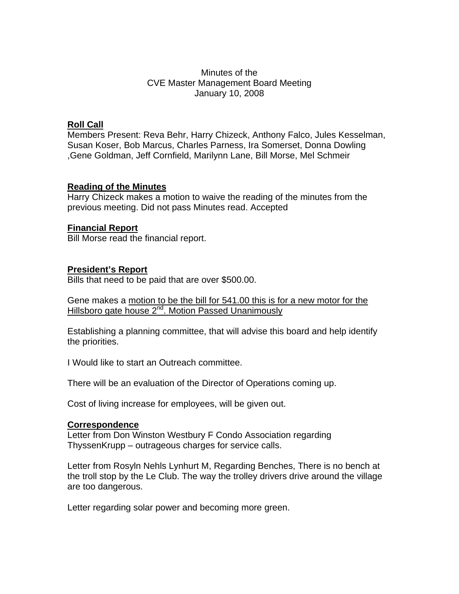## Minutes of the CVE Master Management Board Meeting January 10, 2008

## **Roll Call**

Members Present: Reva Behr, Harry Chizeck, Anthony Falco, Jules Kesselman, Susan Koser, Bob Marcus, Charles Parness, Ira Somerset, Donna Dowling ,Gene Goldman, Jeff Cornfield, Marilynn Lane, Bill Morse, Mel Schmeir

#### **Reading of the Minutes**

Harry Chizeck makes a motion to waive the reading of the minutes from the previous meeting. Did not pass Minutes read. Accepted

## **Financial Report**

Bill Morse read the financial report.

# **President's Report**

Bills that need to be paid that are over \$500.00.

Gene makes a motion to be the bill for 541.00 this is for a new motor for the Hillsboro gate house 2<sup>nd</sup>. Motion Passed Unanimously

Establishing a planning committee, that will advise this board and help identify the priorities.

I Would like to start an Outreach committee.

There will be an evaluation of the Director of Operations coming up.

Cost of living increase for employees, will be given out.

#### **Correspondence**

Letter from Don Winston Westbury F Condo Association regarding ThyssenKrupp – outrageous charges for service calls.

Letter from Rosyln Nehls Lynhurt M, Regarding Benches, There is no bench at the troll stop by the Le Club. The way the trolley drivers drive around the village are too dangerous.

Letter regarding solar power and becoming more green.